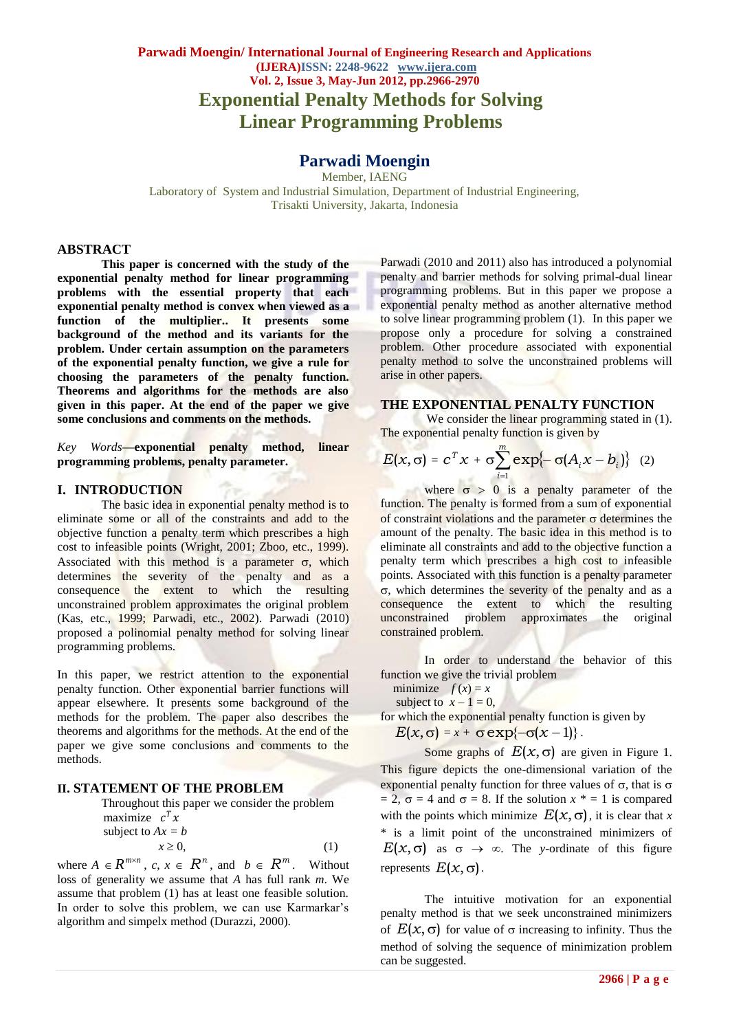# **Parwadi Moengin/ International Journal of Engineering Research and Applications (IJERA)ISSN: 2248-9622 www.ijera.com Vol. 2, Issue 3, May-Jun 2012, pp.2966-2970 Exponential Penalty Methods for Solving Linear Programming Problems**

# **Parwadi Moengin**

Member, IAENG Laboratory of System and Industrial Simulation, Department of Industrial Engineering, Trisakti University, Jakarta, Indonesia

### **ABSTRACT**

**This paper is concerned with the study of the exponential penalty method for linear programming problems with the essential property that each exponential penalty method is convex when viewed as a function of the multiplier.. It presents some background of the method and its variants for the problem. Under certain assumption on the parameters of the exponential penalty function, we give a rule for choosing the parameters of the penalty function. Theorems and algorithms for the methods are also given in this paper. At the end of the paper we give some conclusions and comments on the methods.**

*Key Words***—exponential penalty method, linear programming problems, penalty parameter.** 

### **I. INTRODUCTION**

The basic idea in exponential penalty method is to eliminate some or all of the constraints and add to the objective function a penalty term which prescribes a high cost to infeasible points (Wright, 2001; Zboo, etc., 1999). Associated with this method is a parameter  $\sigma$ , which determines the severity of the penalty and as a consequence the extent to which the resulting unconstrained problem approximates the original problem (Kas, etc., 1999; Parwadi, etc., 2002). Parwadi (2010) proposed a polinomial penalty method for solving linear programming problems.

In this paper, we restrict attention to the exponential penalty function. Other exponential barrier functions will appear elsewhere. It presents some background of the methods for the problem. The paper also describes the theorems and algorithms for the methods. At the end of the paper we give some conclusions and comments to the methods.

## **II. STATEMENT OF THE PROBLEM**

Throughout this paper we consider the problem maximize  $c^T x$ subject to  $Ax = b$  $x \ge 0$ , (1)

where  $A \in \mathbb{R}^{m \times n}$ ,  $c, x \in \mathbb{R}^n$ , and  $b \in \mathbb{R}^m$ . Without loss of generality we assume that *A* has full rank *m*. We assume that problem (1) has at least one feasible solution. In order to solve this problem, we can use Karmarkar's algorithm and simpelx method (Durazzi, 2000).

Parwadi (2010 and 2011) also has introduced a polynomial penalty and barrier methods for solving primal-dual linear programming problems. But in this paper we propose a exponential penalty method as another alternative method to solve linear programming problem (1). In this paper we propose only a procedure for solving a constrained problem. Other procedure associated with exponential penalty method to solve the unconstrained problems will arise in other papers.

### **THE EXPONENTIAL PENALTY FUNCTION**

We consider the linear programming stated in  $(1)$ . The exponential penalty function is given by

$$
E(x, \sigma) = c^T x + \sigma \sum_{i=1}^m \exp\{-\sigma (A_i x - b_i)\} \quad (2)
$$

where  $\sigma > 0$  is a penalty parameter of the function. The penalty is formed from a sum of exponential of constraint violations and the parameter  $\sigma$  determines the amount of the penalty. The basic idea in this method is to eliminate all constraints and add to the objective function a penalty term which prescribes a high cost to infeasible points. Associated with this function is a penalty parameter  $\sigma$ , which determines the severity of the penalty and as a consequence the extent to which the resulting unconstrained problem approximates the original constrained problem.

In order to understand the behavior of this function we give the trivial problem

minimize  $f(x) = x$ 

subject to  $x - 1 = 0$ ,

for which the exponential penalty function is given by

$$
E(x,\sigma)=x+\sigma\exp\{-\sigma(x-1)\}.
$$

Some graphs of  $E(x, \sigma)$  are given in Figure 1. This figure depicts the one-dimensional variation of the exponential penalty function for three values of  $\sigma$ , that is  $\sigma$  $= 2$ ,  $\sigma = 4$  and  $\sigma = 8$ . If the solution  $x^* = 1$  is compared with the points which minimize  $E(x, \sigma)$ , it is clear that *x* \* is a limit point of the unconstrained minimizers of  $E(x, \sigma)$  as  $\sigma \rightarrow \infty$ . The *y*-ordinate of this figure represents  $E(x, \sigma)$ .

The intuitive motivation for an exponential penalty method is that we seek unconstrained minimizers of  $E(x, \sigma)$  for value of  $\sigma$  increasing to infinity. Thus the method of solving the sequence of minimization problem can be suggested.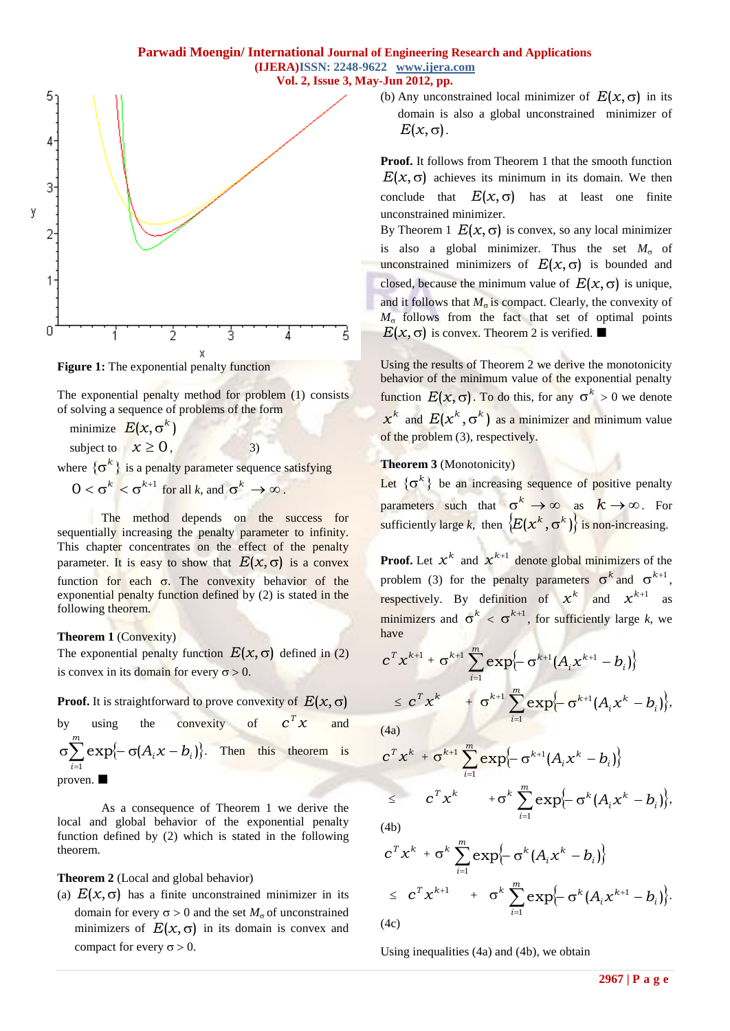

**Figure 1:** The exponential penalty function

The exponential penalty method for problem (1) consists of solving a sequence of problems of the form

minimize  $E(x, \sigma^k)$ 

subject to  $x \ge 0$ , 3)

where  $\{\sigma^k\}$  is a penalty parameter sequence satisfying

 $0 < \sigma^k < \sigma^{k+1}$  for all *k*, and  $\sigma^k \to \infty$ .

The method depends on the success for sequentially increasing the penalty parameter to infinity. This chapter concentrates on the effect of the penalty parameter. It is easy to show that  $E(x, \sigma)$  is a convex function for each  $\sigma$ . The convexity behavior of the exponential penalty function defined by (2) is stated in the following theorem.

# **Theorem 1** (Convexity)

The exponential penalty function  $E(x, \sigma)$  defined in (2) is convex in its domain for every  $\sigma > 0$ .

**Proof.** It is straightforward to prove convexity of  $E(x, \sigma)$ 

by using the convexity of  $c^T x$ and  $\sum_{i=1}^{\infty} \exp\{-\sigma(A_i x - b_i)\}.$  $\sigma \sum_{i=1}^{m} \exp \{-\sigma (A_i x$ *i*  $A_i x - b_i$ 1  $\exp\{-\sigma(A_i x - b_i)\}\$ . Then this theorem is proven.

As a consequence of Theorem 1 we derive the local and global behavior of the exponential penalty function defined by (2) which is stated in the following theorem.

**Theorem 2** (Local and global behavior)

(a)  $E(x, \sigma)$  has a finite unconstrained minimizer in its domain for every  $\sigma > 0$  and the set  $M_{\sigma}$  of unconstrained minimizers of  $E(x, \sigma)$  in its domain is convex and compact for every  $\sigma > 0$ .

(b) Any unconstrained local minimizer of  $E(x, \sigma)$  in its domain is also a global unconstrained minimizer of  $E(x, \sigma)$ .

**Proof.** It follows from Theorem 1 that the smooth function  $E(x, \sigma)$  achieves its minimum in its domain. We then conclude that  $E(x, \sigma)$  has at least one finite unconstrained minimizer.

By Theorem 1  $E(x, \sigma)$  is convex, so any local minimizer is also a global minimizer. Thus the set  $M_{\sigma}$  of unconstrained minimizers of  $E(x, \sigma)$  is bounded and closed, because the minimum value of  $E(x, \sigma)$  is unique, and it follows that  $M_{\sigma}$  is compact. Clearly, the convexity of  $M_{\sigma}$  follows from the fact that set of optimal points  $E(x, \sigma)$  is convex. Theorem 2 is verified.

Using the results of Theorem 2 we derive the monotonicity behavior of the minimum value of the exponential penalty function  $E(x, \sigma)$ . To do this, for any  $\sigma^k > 0$  we denote  $x^k$  and  $E(x^k, \sigma^k)$  as a minimizer and minimum value of the problem (3), respectively.

# **Theorem 3** (Monotonicity)

Let  $\{\sigma^k\}$  be an increasing sequence of positive penalty parameters such that  $\sigma^k \to \infty$  as  $k \to \infty$ . For sufficiently large *k*, then  $\{E(x^k, \sigma^k)\}\$ is non-increasing.

**Proof.** Let  $x^k$  and  $x^{k+1}$  denote global minimizers of the problem (3) for the penalty parameters  $\sigma^k$  and  $\sigma^{k+1}$ , respectively. By definition of  $x^k$  and  $x^{k+1}$  as minimizers and  $\sigma^k < \sigma^{k+1}$ , for sufficiently large *k*, we have

$$
c^T x^{k+1} + \sigma^{k+1} \sum_{i=1}^m \exp\left\{-\sigma^{k+1} (A_i x^{k+1} - b_i)\right\}
$$
  

$$
\leq c^T x^k + \sigma^{k+1} \sum_{i=1}^m \exp\left\{-\sigma^{k+1} (A_i x^k - b_i)\right\},
$$

(4a)

$$
c^T x^k + \sigma^{k+1} \sum_{i=1}^m \exp\left\{-\sigma^{k+1} (A_i x^k - b_i)\right\}
$$
  

$$
\leq c^T x^k + \sigma^k \sum_{i=1}^m \exp\left\{-\sigma^k (A_i x^k - b_i)\right\},
$$

(4b)

$$
c^T x^k + \sigma^k \sum_{i=1}^m \exp\left\{-\sigma^k (A_i x^k - b_i)\right\}
$$
  
\n
$$
\leq c^T x^{k+1} + \sigma^k \sum_{i=1}^m \exp\left\{-\sigma^k (A_i x^{k+1} - b_i)\right\}.
$$
  
\n(4c)

Using inequalities (4a) and (4b), we obtain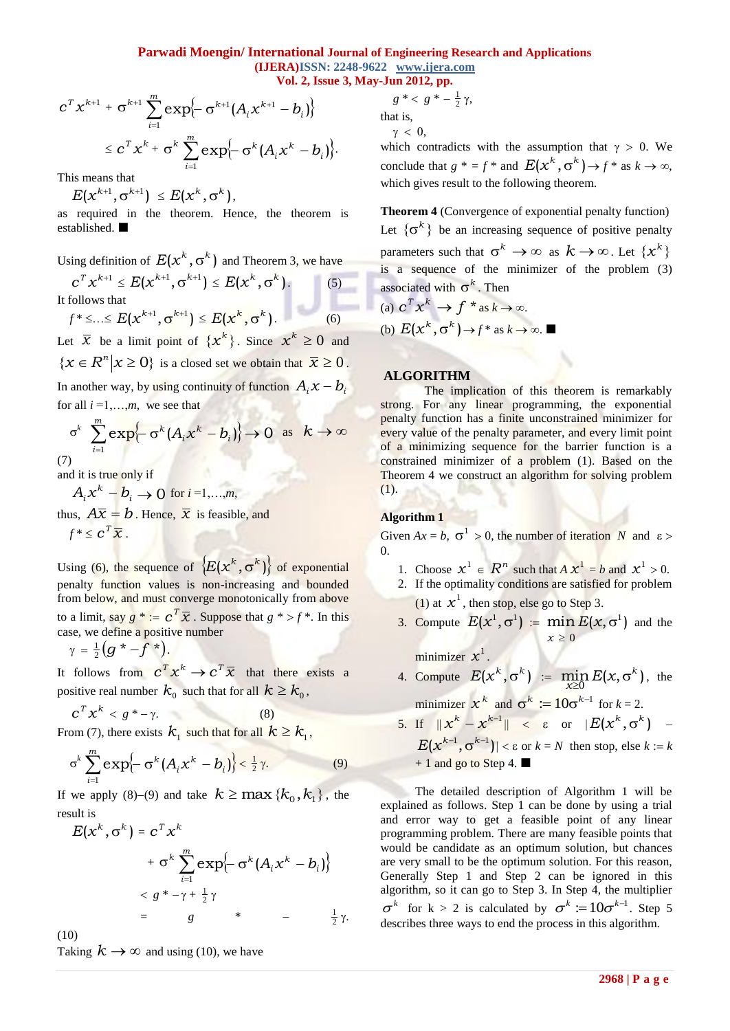### **Parwadi Moengin/ International Journal of Engineering Research and Applications (IJERA)ISSN: 2248-9622 www.ijera.com Vol. 2, Issue 3, May-Jun 2012, pp.**

$$
c^T x^{k+1} + \sigma^{k+1} \sum_{i=1}^m \exp\left\{-\sigma^{k+1} (A_i x^{k+1} - b_i)\right\}
$$
  

$$
\leq c^T x^k + \sigma^k \sum_{i=1}^m \exp\left\{-\sigma^k (A_i x^k - b_i)\right\}.
$$

This means that

$$
E(x^{k+1}, \sigma^{k+1}) \leq E(x^k, \sigma^k),
$$

as required in the theorem. Hence, the theorem is established.

Using definition of  $E(x^k, \sigma^k)$  and Theorem 3, we have  $c^T x^{k+1} \le E(x^{k+1}, \sigma^{k+1}) \le E(x^k, \sigma^k)$ . (5) It follows that  $f^* \leq ... \leq E(x^{k+1}, \sigma^{k+1}) \leq E(x^k, \sigma^k).$  (6)

Let  $\bar{x}$  be a limit point of  $\{x^k\}$ . Since  $x^k \ge 0$  and  $\{x \in R^n | x \ge 0\}$  is a closed set we obtain that  $\overline{x} \ge 0$ . In another way, by using continuity of function  $A_i x - B_i$ for all  $i = 1, \ldots, m$ , we see that

$$
\sigma^k \sum_{i=1}^m \exp\{-\sigma^k (A_i x^k - b_i)\} \to 0 \text{ as } k \to \infty
$$

(7) and it is true only if

$$
A_i x^k - b_i \rightarrow 0 \text{ for } i = 1,...,m,
$$
  
thus,  $A\overline{x} = b$ . Hence,  $\overline{x}$  is feasible, and  
 $f^* \leq c^T \overline{x}$ .

Using (6), the sequence of  $\{E(x^k, \sigma^k)\}\$  of exponential penalty function values is non-increasing and bounded from below, and must converge monotonically from above to a limit, say  $g^* := c^T \overline{x}$ . Suppose that  $g^* > f^*$ . In this case, we define a positive number

$$
\gamma = \frac{1}{2} \left( g^* - f^* \right).
$$

It follows from  $c^T x^k \to c^T \overline{x}$  that there exists a positive real number  $k_0^+$  such that for all  $k \geq k_0^-,$ 

$$
c^T x^k < g^* - \gamma. \tag{8}
$$

From (7), there exists  $k_1$  such that for all  $k \geq k_1$ ,

$$
\sigma^k \sum_{i=1}^m \exp\left\{-\sigma^k (A_i x^k - b_i)\right\} < \frac{1}{2} \gamma.
$$
 (9)

If we apply (8)–(9) and take  $k \ge \max{\{k_0, k_1\}}$ , the result is

$$
E(x^{k}, \sigma^{k}) = c^{T} x^{k}
$$
  
+  $\sigma^{k} \sum_{i=1}^{m} \exp\{-\sigma^{k} (A_{i} x^{k} - b_{i})\}$   
<  $\leq g^{*} - \gamma + \frac{1}{2} \gamma$   
=  $g^{*} - \frac{1}{2} \gamma$ .

(10)

Taking  $k \to \infty$  and using (10), we have

$$
g^* < g^* - \frac{1}{2}\gamma,
$$

that is,

 $\gamma$  < 0,

which contradicts with the assumption that  $\gamma > 0$ . We conclude that  $g^* = f^*$  and  $E(x^k, \sigma^k) \rightarrow f^*$  as  $k \rightarrow \infty$ , which gives result to the following theorem.

**Theorem 4** (Convergence of exponential penalty function) Let  $\{\sigma^k\}$  be an increasing sequence of positive penalty parameters such that  $\sigma^k \to \infty$  as  $k \to \infty$ . Let  $\{x^k\}$ is a sequence of the minimizer of the problem (3) associated with  $\sigma^k$ . Then

(a) 
$$
c^T x^k \to f^* \text{ as } k \to \infty
$$
.  
\n(b)  $E(x^k, \sigma^k) \to f^* \text{ as } k \to \infty$ .

### **ALGORITHM**

The implication of this theorem is remarkably strong. For any linear programming, the exponential penalty function has a finite unconstrained minimizer for every value of the penalty parameter, and every limit point of a minimizing sequence for the barrier function is a constrained minimizer of a problem (1). Based on the Theorem 4 we construct an algorithm for solving problem (1).

# **Algorithm 1**

Given  $Ax = b$ ,  $\sigma^1 > 0$ , the number of iteration *N* and  $\varepsilon >$ 0.

- 1. Choose  $x^1 \in R^n$  such that  $A x^1 = b$  and  $x^1 > 0$ .
- 2. If the optimality conditions are satisfied for problem (1) at  $x^1$ , then stop, else go to Step 3.
- 3. Compute  $E(x^1, \sigma^1) := \min E(x, \sigma^1)$ 0  $\sigma$  $\geq$  $E(x)$ *x* and the

minimizer  $x^1$ .

4. Compute  $E(x^k, \sigma^k) := \min_{x \geq 0} E(x, \sigma^k)$ , the

minimizer  $x^k$  and  $\sigma^k := 10\sigma^{k-1}$  for  $k = 2$ .

5. If  $||x^k - x^{k-1}|| < \varepsilon$  or  $|E(x^k, \sigma^k)|$  –  $E(x^{k-1}, \sigma^{k-1})$  <  $\varepsilon$  or  $k = N$  then stop, else  $k := k$ 

 $+ 1$  and go to Step 4.

 ${}^{n} x^{n+1} + 6^{n+1} \sum_{k=1}^{\infty} \exp(-e^{2kx}) \left\{ A_{k}x^{k+1} - B_{k} \right\}$ <br>  $2 \left( x^{2} \times 4 \right) \left\{ x \right\} \left\{ x \right\} \left\{ x \right\} \left\{ x \right\} \left\{ x \right\} \left\{ x \right\} \left\{ x \right\} \left\{ x \right\} \left\{ x \right\} \left\{ x \right\} \left\{ x \right\} \left\{ x \right\} \left\{ x \right\} \left\{ x \right\} \left\{ x \right\} \left\{$ The detailed description of Algorithm 1 will be explained as follows. Step 1 can be done by using a trial and error way to get a feasible point of any linear programming problem. There are many feasible points that would be candidate as an optimum solution, but chances are very small to be the optimum solution. For this reason, Generally Step 1 and Step 2 can be ignored in this algorithm, so it can go to Step 3. In Step 4, the multiplier  $\sigma^k$  for  $k > 2$  is calculated by  $\sigma^k := 10\sigma^{k-1}$ . Step 5 describes three ways to end the process in this algorithm.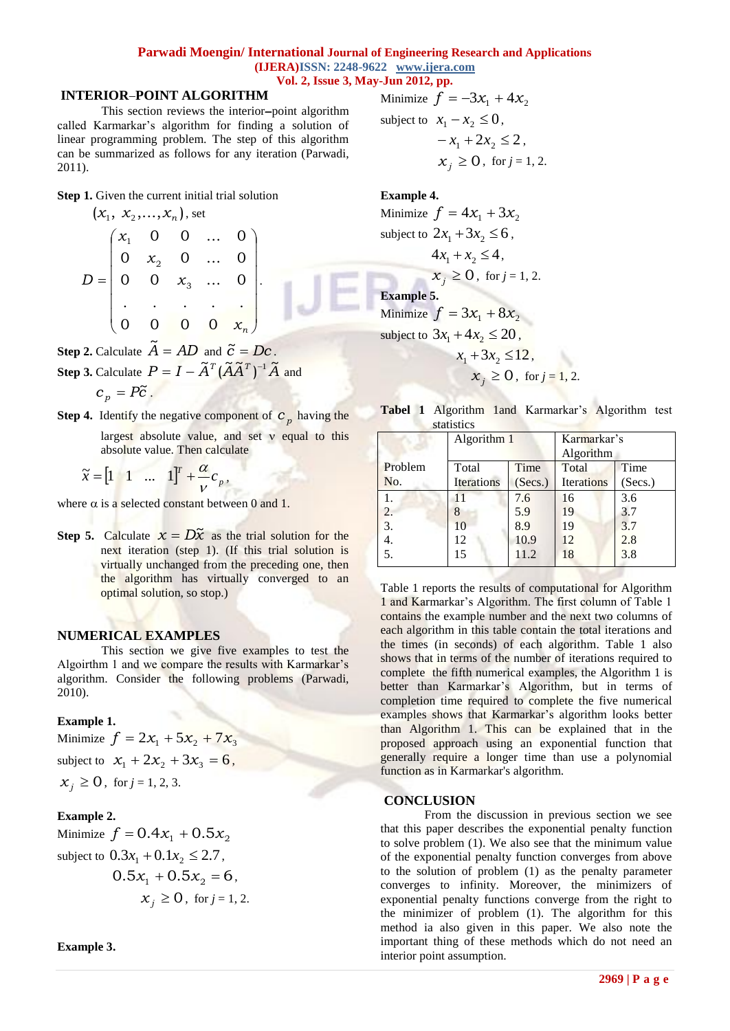### **Parwadi Moengin/ International Journal of Engineering Research and Applications (IJERA)ISSN: 2248-9622 www.ijera.com Vol. 2, Issue 3, May-Jun 2012, pp.**

### **INTERIORPOINT ALGORITHM**

This section reviews the interior-point algorithm called Karmarkar's algorithm for finding a solution of linear programming problem. The step of this algorithm can be summarized as follows for any iteration (Parwadi, 2011).

**Step 1.** Given the current initial trial solution

$$
(x_1, x_2,...,x_n), \text{ set}
$$
\n
$$
D = \begin{pmatrix} x_1 & 0 & 0 & ... & 0 \\ 0 & x_2 & 0 & ... & 0 \\ 0 & 0 & x_3 & ... & 0 \\ . & . & . & . & . \\ 0 & 0 & 0 & 0 & x_n \end{pmatrix}.
$$

**Step 2.** Calculate  $\widetilde{A} = AD$  and  $\widetilde{c} = Dc$ .

**Step 3.** Calculate  $P = I - \tilde{A}^T (\tilde{A} \tilde{A}^T)^{-1} \tilde{A}$  and  $c_p = P\tilde{c}$ .

**Step 4.** Identify the negative component of  $c_p$  having the

largest absolute value, and set  $\nu$  equal to this absolute value. Then calculate

$$
\widetilde{x} = \begin{bmatrix} 1 & 1 & \dots & 1 \end{bmatrix}^T + \frac{\alpha}{\nu} c_p,
$$

where  $\alpha$  is a selected constant between 0 and 1.

**Step 5.** Calculate  $x = D\tilde{x}$  as the trial solution for the next iteration (step 1). (If this trial solution is virtually unchanged from the preceding one, then the algorithm has virtually converged to an optimal solution, so stop.)

### **NUMERICAL EXAMPLES**

This section we give five examples to test the Algoirthm 1 and we compare the results with Karmarkar's algorithm. Consider the following problems (Parwadi, 2010).

## **Example 1.**

Minimize  $f = 2x_1 + 5x_2 + 7x_3$ subject to  $x_1 + 2x_2 + 3x_3 = 6$ ,  $x_j \ge 0$ , for  $j = 1, 2, 3$ .

### **Example 2.**

Minimize  $f = 0.4x_1 + 0.5x_2$ subject to  $0.3x_1 + 0.1x_2 \le 2.7$ ,  $0.5x_1 + 0.5x_2 = 6$ ,  $x_j \ge 0$ , for  $j = 1, 2$ . Minimize  $f = -3x_1 + 4x_2$ subject to  $x_1 - x_2 \leq 0$ ,  $-x_1 + 2x_2 \leq 2$ 

$$
x_j \geq 0
$$
, for  $j = 1, 2$ .

### **Example 4.**

Minimize  $f = 4x_1 + 3x_2$ subject to  $2x_1 + 3x_2 \leq 6$ ,  $4x_1 + x_2 \leq 4$ ,  $x_j \ge 0$ , for  $j = 1, 2$ . **Example 5.**  Minimize  $f = 3x_1 + 8x_2$ subject to  $3x_1 + 4x_2 \le 20$ ,  $x_1 + 3x_2 \le 12$ ,  $x_j \geq 0$ , for  $j = 1, 2$ .

|  |            | Tabel 1 Algorithm 1 and Karmarkar's Algorithm test |  |
|--|------------|----------------------------------------------------|--|
|  | statistics |                                                    |  |

|         | Algorithm 1       |         |                   | Karmarkar's |  |  |
|---------|-------------------|---------|-------------------|-------------|--|--|
|         |                   |         | Algorithm         |             |  |  |
| Problem | Total             | Time    | Total             | Time        |  |  |
| No.     | <b>Iterations</b> | (Secs.) | <b>Iterations</b> | (Secs.)     |  |  |
| 1.      |                   | 7.6     | 16                | 3.6         |  |  |
| 2.      | 8                 | 5.9     | 19                | 3.7         |  |  |
| 3.      | 10                | 8.9     | 19                | 3.7         |  |  |
| 4.      | 12                | 10.9    | 12                | 2.8         |  |  |
| 5.      | 15                | 11.2    | 18                | 3.8         |  |  |

Table 1 reports the results of computational for Algorithm 1 and Karmarkar's Algorithm. The first column of Table 1 contains the example number and the next two columns of each algorithm in this table contain the total iterations and the times (in seconds) of each algorithm. Table 1 also shows that in terms of the number of iterations required to complete the fifth numerical examples, the Algorithm 1 is better than Karmarkar's Algorithm, but in terms of completion time required to complete the five numerical examples shows that Karmarkar's algorithm looks better than Algorithm 1. This can be explained that in the proposed approach using an exponential function that generally require a longer time than use a polynomial function as in Karmarkar's algorithm.

#### **CONCLUSION**

From the discussion in previous section we see that this paper describes the exponential penalty function to solve problem (1). We also see that the minimum value of the exponential penalty function converges from above to the solution of problem (1) as the penalty parameter converges to infinity. Moreover, the minimizers of exponential penalty functions converge from the right to the minimizer of problem (1). The algorithm for this method ia also given in this paper. We also note the important thing of these methods which do not need an interior point assumption.

**Example 3.**